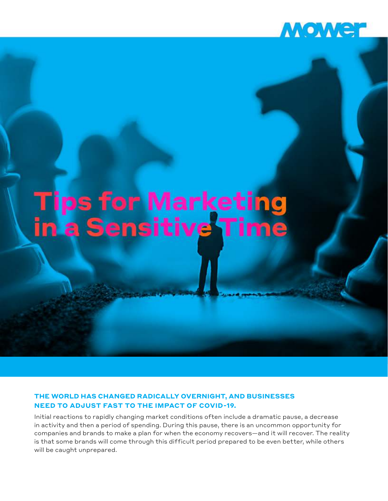

# **Tips for Marketing<br>in a Sensitive Time**

# **THE WORLD HAS CHANGED RADICALLY OVERNIGHT, AND BUSINESSES NEED TO ADJUST FAST TO THE IMPACT OF COVID-19.**

Initial reactions to rapidly changing market conditions often include a dramatic pause, a decrease in activity and then a period of spending. During this pause, there is an uncommon opportunity for companies and brands to make a plan for when the economy recovers—and it will recover. The reality is that some brands will come through this difficult period prepared to be even better, while others will be caught unprepared.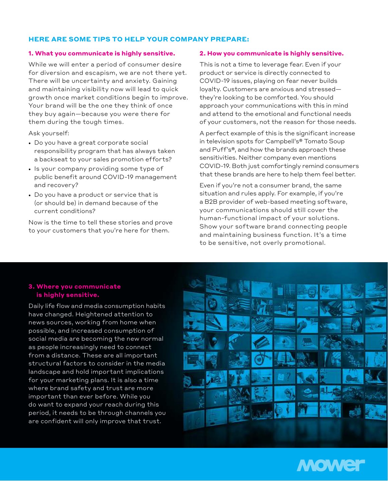## **HERE ARE SOME TIPS TO HELP YOUR COMPANY PREPARE:**

#### **1. What you communicate is highly sensitive.**

While we will enter a period of consumer desire for diversion and escapism, we are not there yet. There will be uncertainty and anxiety. Gaining and maintaining visibility now will lead to quick growth once market conditions begin to improve. Your brand will be the one they think of once they buy again—because you were there for them during the tough times.

Ask yourself:

- Do you have a great corporate social responsibility program that has always taken a backseat to your sales promotion efforts?
- Is your company providing some type of public benefit around COVID-19 management and recovery?
- Do you have a product or service that is (or should be) in demand because of the current conditions?

Now is the time to tell these stories and prove to your customers that you're here for them.

#### **2. How you communicate is highly sensitive.**

This is not a time to leverage fear. Even if your product or service is directly connected to COVID-19 issues, playing on fear never builds loyalty. Customers are anxious and stressed they're looking to be comforted. You should approach your communications with this in mind and attend to the emotional and functional needs of your customers, not the reason for those needs.

A perfect example of this is the significant increase in television spots for Campbell's® Tomato Soup and Puff's®, and how the brands approach these sensitivities. Neither company even mentions COVID-19. Both just comfortingly remind consumers that these brands are here to help them feel better.

Even if you're not a consumer brand, the same situation and rules apply. For example, if you're a B2B provider of web-based meeting software, your communications should still cover the human-functional impact of your solutions. Show your software brand connecting people and maintaining business function. It's a time to be sensitive, not overly promotional.

## **3. Where you communicate is highly sensitive.**

Daily life flow and media consumption habits have changed. Heightened attention to news sources, working from home when possible, and increased consumption of social media are becoming the new normal as people increasingly need to connect from a distance. These are all important structural factors to consider in the media landscape and hold important implications for your marketing plans. It is also a time where brand safety and trust are more important than ever before. While you do want to expand your reach during this period, it needs to be through channels you are confident will only improve that trust.